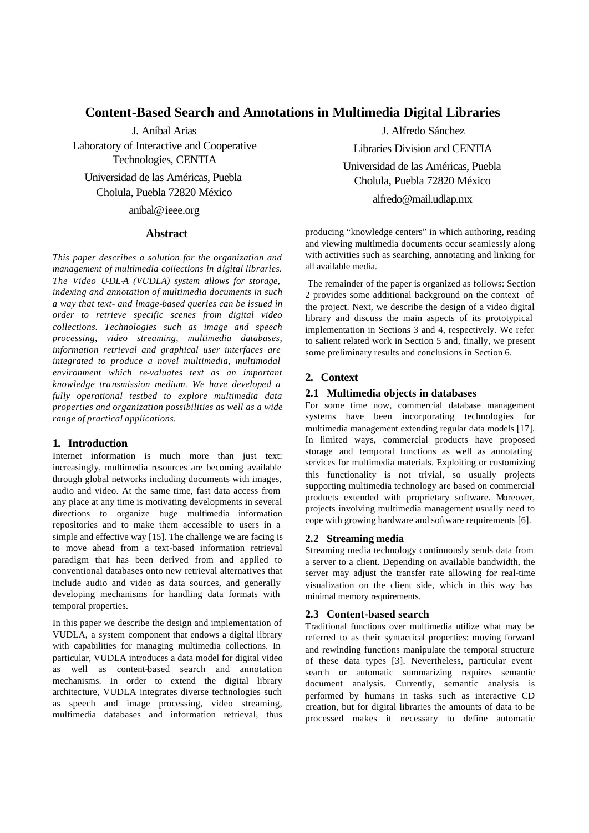# **Content-Based Search and Annotations in Multimedia Digital Libraries**

J. Aníbal Arias

Laboratory of Interactive and Cooperative Technologies, CENTIA

Universidad de las Américas, Puebla Cholula, Puebla 72820 México

anibal@ieee.org

# **Abstract**

*This paper describes a solution for the organization and management of multimedia collections in digital libraries. The Video U-DL-A (VUDLA) system allows for storage, indexing and annotation of multimedia documents in such a way that text- and image-based queries can be issued in order to retrieve specific scenes from digital video collections. Technologies such as image and speech processing, video streaming, multimedia databases, information retrieval and graphical user interfaces are integrated to produce a novel multimedia, multimodal environment which re-valuates text as an important knowledge transmission medium. We have developed a fully operational testbed to explore multimedia data properties and organization possibilities as well as a wide range of practical applications.*

## **1. Introduction**

Internet information is much more than just text: increasingly, multimedia resources are becoming available through global networks including documents with images, audio and video. At the same time, fast data access from any place at any time is motivating developments in several directions to organize huge multimedia information repositories and to make them accessible to users in a simple and effective way [15]. The challenge we are facing is to move ahead from a text-based information retrieval paradigm that has been derived from and applied to conventional databases onto new retrieval alternatives that include audio and video as data sources, and generally developing mechanisms for handling data formats with temporal properties.

In this paper we describe the design and implementation of VUDLA, a system component that endows a digital library with capabilities for managing multimedia collections. In particular, VUDLA introduces a data model for digital video as well as content-based search and annotation mechanisms. In order to extend the digital library architecture, VUDLA integrates diverse technologies such as speech and image processing, video streaming, multimedia databases and information retrieval, thus

J. Alfredo Sánchez Libraries Division and CENTIA Universidad de las Américas, Puebla Cholula, Puebla 72820 México alfredo@mail.udlap.mx

producing "knowledge centers" in which authoring, reading and viewing multimedia documents occur seamlessly along with activities such as searching, annotating and linking for all available media.

 The remainder of the paper is organized as follows: Section 2 provides some additional background on the context of the project. Next, we describe the design of a video digital library and discuss the main aspects of its prototypical implementation in Sections 3 and 4, respectively. We refer to salient related work in Section 5 and, finally, we present some preliminary results and conclusions in Section 6.

# **2. Context**

## **2.1 Multimedia objects in databases**

For some time now, commercial database management systems have been incorporating technologies for multimedia management extending regular data models [17]. In limited ways, commercial products have proposed storage and temporal functions as well as annotating services for multimedia materials. Exploiting or customizing this functionality is not trivial, so usually projects supporting multimedia technology are based on commercial products extended with proprietary software. Moreover, projects involving multimedia management usually need to cope with growing hardware and software requirements [6].

## **2.2 Streaming media**

Streaming media technology continuously sends data from a server to a client. Depending on available bandwidth, the server may adjust the transfer rate allowing for real-time visualization on the client side, which in this way has minimal memory requirements.

# **2.3 Content-based search**

Traditional functions over multimedia utilize what may be referred to as their syntactical properties: moving forward and rewinding functions manipulate the temporal structure of these data types [3]. Nevertheless, particular event search or automatic summarizing requires semantic document analysis. Currently, semantic analysis is performed by humans in tasks such as interactive CD creation, but for digital libraries the amounts of data to be processed makes it necessary to define automatic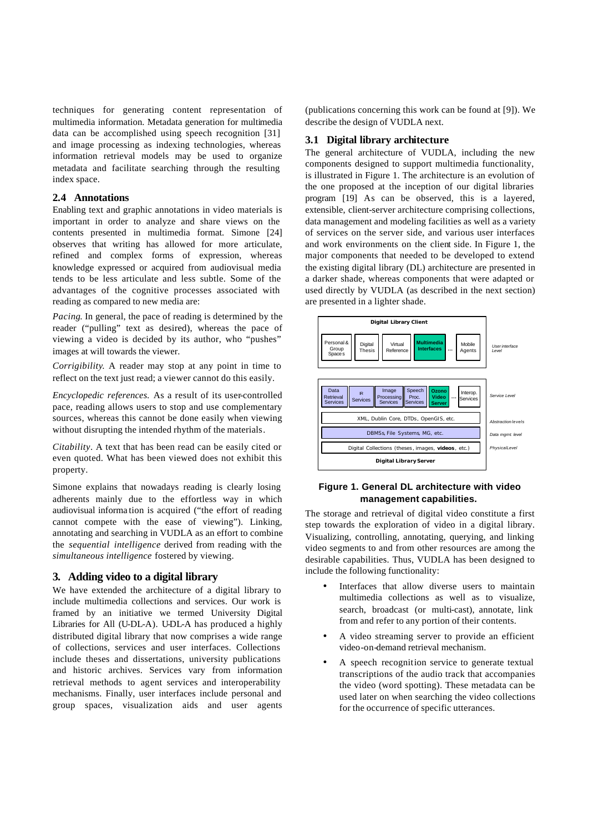techniques for generating content representation of multimedia information. Metadata generation for multimedia data can be accomplished using speech recognition [31] and image processing as indexing technologies, whereas information retrieval models may be used to organize metadata and facilitate searching through the resulting index space.

#### **2.4 Annotations**

Enabling text and graphic annotations in video materials is important in order to analyze and share views on the contents presented in multimedia format. Simone [24] observes that writing has allowed for more articulate, refined and complex forms of expression, whereas knowledge expressed or acquired from audiovisual media tends to be less articulate and less subtle. Some of the advantages of the cognitive processes associated with reading as compared to new media are:

*Pacing*. In general, the pace of reading is determined by the reader ("pulling" text as desired), whereas the pace of viewing a video is decided by its author, who "pushes" images at will towards the viewer.

*Corrigibility*. A reader may stop at any point in time to reflect on the text just read; a viewer cannot do this easily.

*Encyclopedic references.* As a result of its user-controlled pace, reading allows users to stop and use complementary sources, whereas this cannot be done easily when viewing without disrupting the intended rhythm of the materials.

*Citability*. A text that has been read can be easily cited or even quoted. What has been viewed does not exhibit this property.

Simone explains that nowadays reading is clearly losing adherents mainly due to the effortless way in which audiovisual informa tion is acquired ("the effort of reading cannot compete with the ease of viewing"). Linking, annotating and searching in VUDLA as an effort to combine the *sequential intelligence* derived from reading with the *simultaneous intelligence* fostered by viewing.

## **3. Adding video to a digital library**

We have extended the architecture of a digital library to include multimedia collections and services. Our work is framed by an initiative we termed University Digital Libraries for All (U-DL-A). U-DL-A has produced a highly distributed digital library that now comprises a wide range of collections, services and user interfaces. Collections include theses and dissertations, university publications and historic archives. Services vary from information retrieval methods to agent services and interoperability mechanisms. Finally, user interfaces include personal and group spaces, visualization aids and user agents

(publications concerning this work can be found at [9]). We describe the design of VUDLA next.

# **3.1 Digital library architecture**

The general architecture of VUDLA, including the new components designed to support multimedia functionality, is illustrated in Figure 1. The architecture is an evolution of the one proposed at the inception of our digital libraries program [19] As can be observed, this is a layered, extensible, client-server architecture comprising collections, data management and modeling facilities as well as a variety of services on the server side, and various user interfaces and work environments on the client side. In Figure 1, the major components that needed to be developed to extend the existing digital library (DL) architecture are presented in a darker shade, whereas components that were adapted or used directly by VUDLA (as described in the next section) are presented in a lighter shade.



# **Figure 1. General DL architecture with video management capabilities.**

The storage and retrieval of digital video constitute a first step towards the exploration of video in a digital library. Visualizing, controlling, annotating, querying, and linking video segments to and from other resources are among the desirable capabilities. Thus, VUDLA has been designed to include the following functionality:

- Interfaces that allow diverse users to maintain multimedia collections as well as to visualize, search, broadcast (or multi-cast), annotate, link from and refer to any portion of their contents.
- A video streaming server to provide an efficient video-on-demand retrieval mechanism.
- A speech recognition service to generate textual transcriptions of the audio track that accompanies the video (word spotting). These metadata can be used later on when searching the video collections for the occurrence of specific utterances.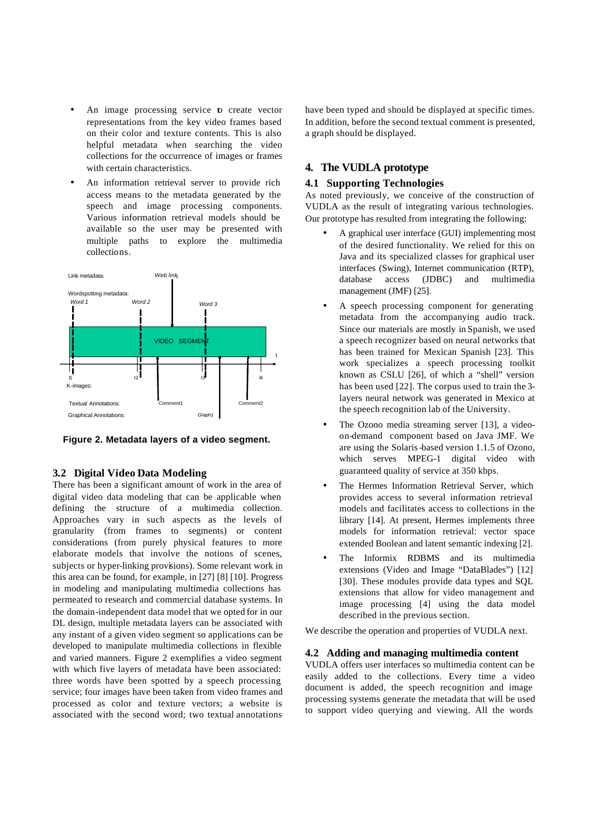- An image processing service b create vector representations from the key video frames based on their color and texture contents. This is also helpful metadata when searching the video collections for the occurrence of images or frames with certain characteristics.
- An information retrieval server to provide rich access means to the metadata generated by the speech and image processing components. Various information retrieval models should be available so the user may be presented with multiple paths to explore the multimedia collections.



**Figure 2. Metadata layers of a video segment.**

#### **3.2 Digital Video Data Modeling**

There has been a significant amount of work in the area of digital video data modeling that can be applicable when defining the structure of a multimedia collection. Approaches vary in such aspects as the levels of granularity (from frames to segments) or content considerations (from purely physical features to more elaborate models that involve the notions of scenes, subjects or hyper-linking provisions). Some relevant work in this area can be found, for example, in [27] [8] [10]. Progress in modeling and manipulating multimedia collections has permeated to research and commercial database systems. In the domain-independent data model that we opted for in our DL design, multiple metadata layers can be associated with any instant of a given video segment so applications can be developed to manipulate multimedia collections in flexible and varied manners. Figure 2 exemplifies a video segment with which five layers of metadata have been associated: three words have been spotted by a speech processing service; four images have been taken from video frames and processed as color and texture vectors; a website is associated with the second word; two textual annotations

have been typed and should be displayed at specific times. In addition, before the second textual comment is presented, a graph should be displayed.

# **4. The VUDLA prototype**

#### **4.1 Supporting Technologies**

As noted previously, we conceive of the construction of VUDLA as the result of integrating various technologies. Our prototype has resulted from integrating the following:

- A graphical user interface (GUI) implementing most of the desired functionality. We relied for this on Java and its specialized classes for graphical user interfaces (Swing), Internet communication (RTP), database access (JDBC) and multimedia management (JMF) [25].
- A speech processing component for generating metadata from the accompanying audio track. Since our materials are mostly in Spanish, we used a speech recognizer based on neural networks that has been trained for Mexican Spanish [23]. This work specializes a speech processing toolkit known as CSLU [26], of which a "shell" version has been used [22]. The corpus used to train the 3 layers neural network was generated in Mexico at the speech recognition lab of the University.
- The Ozono media streaming server [13], a videoon-demand component based on Java JMF. We are using the Solaris-based version 1.1.5 of Ozono, which serves MPEG-1 digital video with guaranteed quality of service at 350 kbps.
- The Hermes Information Retrieval Server, which provides access to several information retrieval models and facilitates access to collections in the library [14]. At present, Hermes implements three models for information retrieval: vector space extended Boolean and latent semantic indexing [2].
- The Informix RDBMS and its multimedia extensions (Video and Image "DataBlades") [12] [30]. These modules provide data types and SQL extensions that allow for video management and image processing [4] using the data model described in the previous section.

We describe the operation and properties of VUDLA next.

## **4.2 Adding and managing multimedia content**

VUDLA offers user interfaces so multimedia content can be easily added to the collections. Every time a video document is added, the speech recognition and image processing systems generate the metadata that will be used to support video querying and viewing. All the words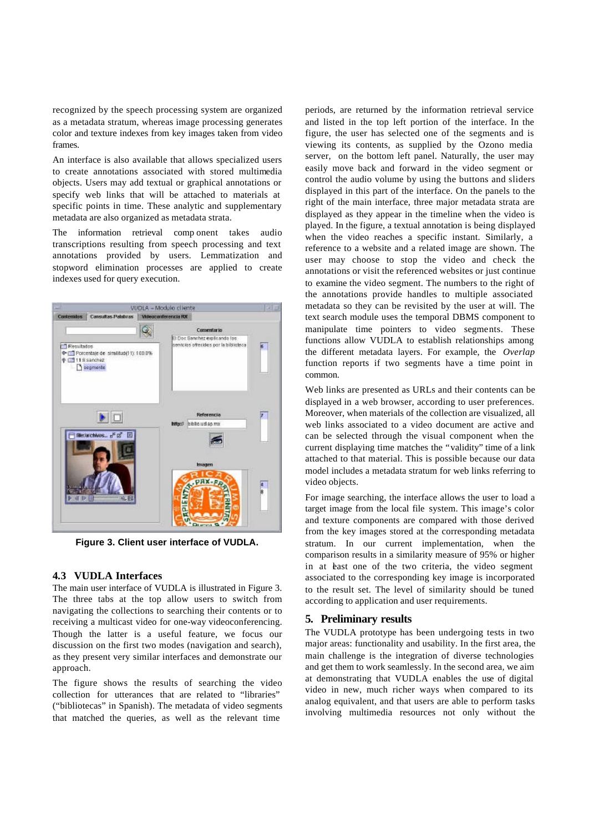recognized by the speech processing system are organized as a metadata stratum, whereas image processing generates color and texture indexes from key images taken from video frames.

An interface is also available that allows specialized users to create annotations associated with stored multimedia objects. Users may add textual or graphical annotations or specify web links that will be attached to materials at specific points in time. These analytic and supplementary metadata are also organized as metadata strata.

The information retrieval comp onent takes audio transcriptions resulting from speech processing and text annotations provided by users. Lemmatization and stopword elimination processes are applied to create indexes used for query execution.



**Figure 3. Client user interface of VUDLA.**

## **4.3 VUDLA Interfaces**

The main user interface of VUDLA is illustrated in Figure 3. The three tabs at the top allow users to switch from navigating the collections to searching their contents or to receiving a multicast video for one-way videoconferencing. Though the latter is a useful feature, we focus our discussion on the first two modes (navigation and search), as they present very similar interfaces and demonstrate our approach.

The figure shows the results of searching the video collection for utterances that are related to "libraries" ("bibliotecas" in Spanish). The metadata of video segments that matched the queries, as well as the relevant time

periods, are returned by the information retrieval service and listed in the top left portion of the interface. In the figure, the user has selected one of the segments and is viewing its contents, as supplied by the Ozono media server, on the bottom left panel. Naturally, the user may easily move back and forward in the video segment or control the audio volume by using the buttons and sliders displayed in this part of the interface. On the panels to the right of the main interface, three major metadata strata are displayed as they appear in the timeline when the video is played. In the figure, a textual annotation is being displayed when the video reaches a specific instant. Similarly, a reference to a website and a related image are shown. The user may choose to stop the video and check the annotations or visit the referenced websites or just continue to examine the video segment. The numbers to the right of the annotations provide handles to multiple associated metadata so they can be revisited by the user at will. The text search module uses the temporal DBMS component to manipulate time pointers to video segments. These functions allow VUDLA to establish relationships among the different metadata layers. For example, the *Overlap*  function reports if two segments have a time point in common.

Web links are presented as URLs and their contents can be displayed in a web browser, according to user preferences. Moreover, when materials of the collection are visualized, all web links associated to a video document are active and can be selected through the visual component when the current displaying time matches the "validity" time of a link attached to that material. This is possible because our data model includes a metadata stratum for web links referring to video objects.

For image searching, the interface allows the user to load a target image from the local file system. This image's color and texture components are compared with those derived from the key images stored at the corresponding metadata stratum. In our current implementation, when the comparison results in a similarity measure of 95% or higher in at least one of the two criteria, the video segment associated to the corresponding key image is incorporated to the result set. The level of similarity should be tuned according to application and user requirements.

## **5. Preliminary results**

The VUDLA prototype has been undergoing tests in two major areas: functionality and usability. In the first area, the main challenge is the integration of diverse technologies and get them to work seamlessly. In the second area, we aim at demonstrating that VUDLA enables the use of digital video in new, much richer ways when compared to its analog equivalent, and that users are able to perform tasks involving multimedia resources not only without the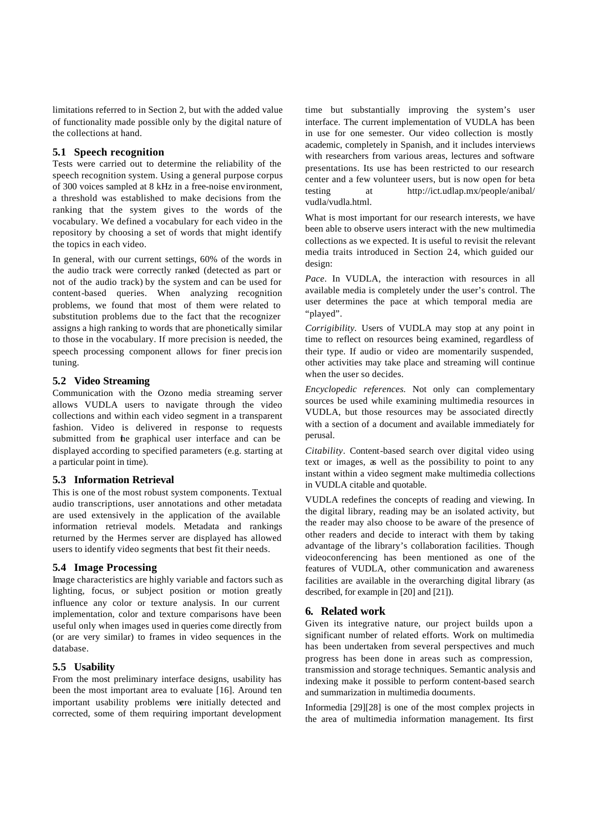limitations referred to in Section 2, but with the added value of functionality made possible only by the digital nature of the collections at hand.

## **5.1 Speech recognition**

Tests were carried out to determine the reliability of the speech recognition system. Using a general purpose corpus of 300 voices sampled at 8 kHz in a free-noise environment, a threshold was established to make decisions from the ranking that the system gives to the words of the vocabulary. We defined a vocabulary for each video in the repository by choosing a set of words that might identify the topics in each video.

In general, with our current settings, 60% of the words in the audio track were correctly ranked (detected as part or not of the audio track) by the system and can be used for content-based queries. When analyzing recognition problems, we found that most of them were related to substitution problems due to the fact that the recognizer assigns a high ranking to words that are phonetically similar to those in the vocabulary. If more precision is needed, the speech processing component allows for finer precision tuning.

# **5.2 Video Streaming**

Communication with the Ozono media streaming server allows VUDLA users to navigate through the video collections and within each video segment in a transparent fashion. Video is delivered in response to requests submitted from the graphical user interface and can be displayed according to specified parameters (e.g. starting at a particular point in time).

## **5.3 Information Retrieval**

This is one of the most robust system components. Textual audio transcriptions, user annotations and other metadata are used extensively in the application of the available information retrieval models. Metadata and rankings returned by the Hermes server are displayed has allowed users to identify video segments that best fit their needs.

# **5.4 Image Processing**

Image characteristics are highly variable and factors such as lighting, focus, or subject position or motion greatly influence any color or texture analysis. In our current implementation, color and texture comparisons have been useful only when images used in queries come directly from (or are very similar) to frames in video sequences in the database.

#### **5.5 Usability**

From the most preliminary interface designs, usability has been the most important area to evaluate [16]. Around ten important usability problems were initially detected and corrected, some of them requiring important development time but substantially improving the system's user interface. The current implementation of VUDLA has been in use for one semester. Our video collection is mostly academic, completely in Spanish, and it includes interviews with researchers from various areas, lectures and software presentations. Its use has been restricted to our research center and a few volunteer users, but is now open for beta testing at http://ict.udlap.mx/people/anibal/ vudla/vudla.html.

What is most important for our research interests, we have been able to observe users interact with the new multimedia collections as we expected. It is useful to revisit the relevant media traits introduced in Section 24, which guided our design:

*Pace*. In VUDLA, the interaction with resources in all available media is completely under the user's control. The user determines the pace at which temporal media are "played".

*Corrigibility.* Users of VUDLA may stop at any point in time to reflect on resources being examined, regardless of their type. If audio or video are momentarily suspended, other activities may take place and streaming will continue when the user so decides.

*Encyclopedic references.* Not only can complementary sources be used while examining multimedia resources in VUDLA, but those resources may be associated directly with a section of a document and available immediately for perusal.

*Citability*. Content-based search over digital video using text or images, as well as the possibility to point to any instant within a video segment make multimedia collections in VUDLA citable and quotable.

VUDLA redefines the concepts of reading and viewing. In the digital library, reading may be an isolated activity, but the reader may also choose to be aware of the presence of other readers and decide to interact with them by taking advantage of the library's collaboration facilities. Though videoconferencing has been mentioned as one of the features of VUDLA, other communication and awareness facilities are available in the overarching digital library (as described, for example in [20] and [21]).

## **6. Related work**

Given its integrative nature, our project builds upon a significant number of related efforts. Work on multimedia has been undertaken from several perspectives and much progress has been done in areas such as compression, transmission and storage techniques. Semantic analysis and indexing make it possible to perform content-based search and summarization in multimedia documents.

Informedia [29][28] is one of the most complex projects in the area of multimedia information management. Its first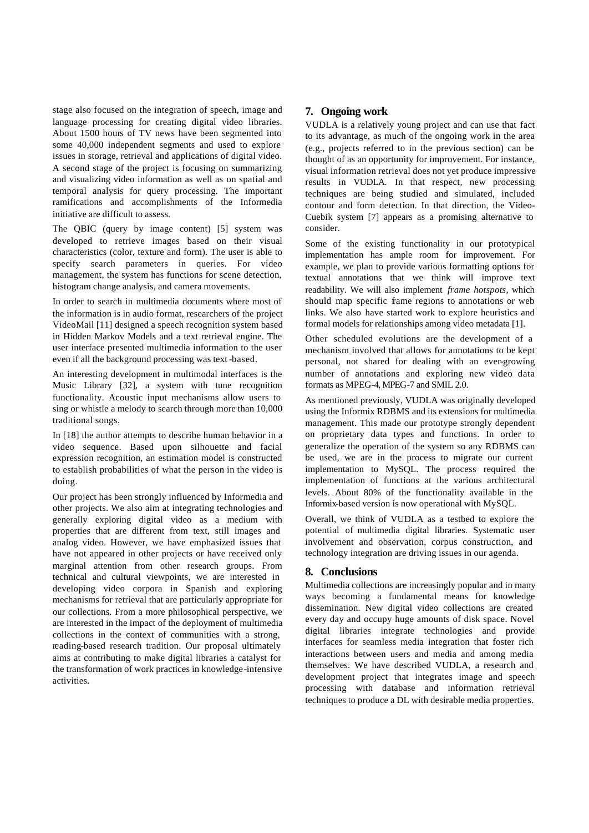stage also focused on the integration of speech, image and language processing for creating digital video libraries. About 1500 hours of TV news have been segmented into some 40,000 independent segments and used to explore issues in storage, retrieval and applications of digital video. A second stage of the project is focusing on summarizing and visualizing video information as well as on spatial and temporal analysis for query processing. The important ramifications and accomplishments of the Informedia initiative are difficult to assess.

The QBIC (query by image content) [5] system was developed to retrieve images based on their visual characteristics (color, texture and form). The user is able to specify search parameters in queries. For video management, the system has functions for scene detection, histogram change analysis, and camera movements.

In order to search in multimedia documents where most of the information is in audio format, researchers of the project VideoMail [11] designed a speech recognition system based in Hidden Markov Models and a text retrieval engine. The user interface presented multimedia information to the user even if all the background processing was text -based.

An interesting development in multimodal interfaces is the Music Library [32], a system with tune recognition functionality. Acoustic input mechanisms allow users to sing or whistle a melody to search through more than 10,000 traditional songs.

In [18] the author attempts to describe human behavior in a video sequence. Based upon silhouette and facial expression recognition, an estimation model is constructed to establish probabilities of what the person in the video is doing.

Our project has been strongly influenced by Informedia and other projects. We also aim at integrating technologies and generally exploring digital video as a medium with properties that are different from text, still images and analog video. However, we have emphasized issues that have not appeared in other projects or have received only marginal attention from other research groups. From technical and cultural viewpoints, we are interested in developing video corpora in Spanish and exploring mechanisms for retrieval that are particularly appropriate for our collections. From a more philosophical perspective, we are interested in the impact of the deployment of multimedia collections in the context of communities with a strong, reading-based research tradition. Our proposal ultimately aims at contributing to make digital libraries a catalyst for the transformation of work practices in knowledge-intensive activities.

# **7. Ongoing work**

VUDLA is a relatively young project and can use that fact to its advantage, as much of the ongoing work in the area (e.g., projects referred to in the previous section) can be thought of as an opportunity for improvement. For instance, visual information retrieval does not yet produce impressive results in VUDLA. In that respect, new processing techniques are being studied and simulated, included contour and form detection. In that direction, the Video-Cuebik system [7] appears as a promising alternative to consider.

Some of the existing functionality in our prototypical implementation has ample room for improvement. For example, we plan to provide various formatting options for textual annotations that we think will improve text readability. We will also implement *frame hotspots*, which should map specific frame regions to annotations or web links. We also have started work to explore heuristics and formal models for relationships among video metadata [1].

Other scheduled evolutions are the development of a mechanism involved that allows for annotations to be kept personal, not shared for dealing with an ever-growing number of annotations and exploring new video data formats as MPEG-4, MPEG-7 and SMIL 2.0.

As mentioned previously, VUDLA was originally developed using the Informix RDBMS and its extensions for multimedia management. This made our prototype strongly dependent on proprietary data types and functions. In order to generalize the operation of the system so any RDBMS can be used, we are in the process to migrate our current implementation to MySQL. The process required the implementation of functions at the various architectural levels. About 80% of the functionality available in the Informix-based version is now operational with MySQL.

Overall, we think of VUDLA as a testbed to explore the potential of multimedia digital libraries. Systematic user involvement and observation, corpus construction, and technology integration are driving issues in our agenda.

# **8. Conclusions**

Multimedia collections are increasingly popular and in many ways becoming a fundamental means for knowledge dissemination. New digital video collections are created every day and occupy huge amounts of disk space. Novel digital libraries integrate technologies and provide interfaces for seamless media integration that foster rich interactions between users and media and among media themselves. We have described VUDLA, a research and development project that integrates image and speech processing with database and information retrieval techniques to produce a DL with desirable media properties.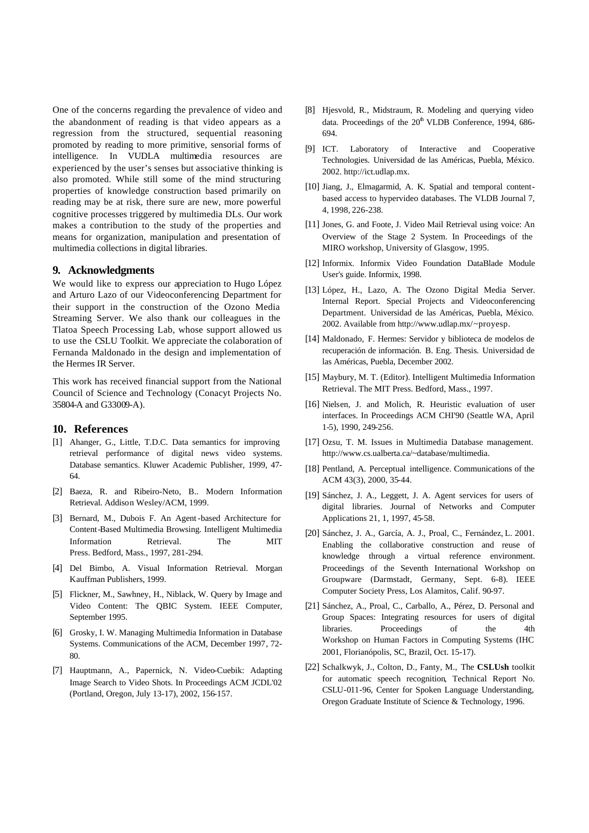One of the concerns regarding the prevalence of video and the abandonment of reading is that video appears as a regression from the structured, sequential reasoning promoted by reading to more primitive, sensorial forms of intelligence. In VUDLA multimedia resources are experienced by the user's senses but associative thinking is also promoted. While still some of the mind structuring properties of knowledge construction based primarily on reading may be at risk, there sure are new, more powerful cognitive processes triggered by multimedia DLs. Our work makes a contribution to the study of the properties and means for organization, manipulation and presentation of multimedia collections in digital libraries.

#### **9. Acknowledgments**

We would like to express our appreciation to Hugo López and Arturo Lazo of our Videoconferencing Department for their support in the construction of the Ozono Media Streaming Server. We also thank our colleagues in the Tlatoa Speech Processing Lab, whose support allowed us to use the CSLU Toolkit. We appreciate the colaboration of Fernanda Maldonado in the design and implementation of the Hermes IR Server.

This work has received financial support from the National Council of Science and Technology (Conacyt Projects No. 35804-A and G33009-A).

#### **10. References**

- [1] Ahanger, G., Little, T.D.C. Data semantics for improving retrieval performance of digital news video systems. Database semantics. Kluwer Academic Publisher, 1999, 47- 64.
- [2] Baeza, R. and Ribeiro-Neto, B.. Modern Information Retrieval. Addison Wesley/ACM, 1999.
- [3] Bernard, M., Dubois F. An Agent -based Architecture for Content-Based Multimedia Browsing. Intelligent Multimedia Information Retrieval. The MIT Press. Bedford, Mass., 1997, 281-294.
- [4] Del Bimbo, A. Visual Information Retrieval. Morgan Kauffman Publishers, 1999.
- [5] Flickner, M., Sawhney, H., Niblack, W. Query by Image and Video Content: The QBIC System. IEEE Computer, September 1995.
- [6] Grosky, I. W. Managing Multimedia Information in Database Systems. Communications of the ACM, December 1997, 72- 80.
- [7] Hauptmann, A., Papernick, N. Video-Cuebik: Adapting Image Search to Video Shots. In Proceedings ACM JCDL'02 (Portland, Oregon, July 13-17), 2002, 156-157.
- [8] Hjesvold, R., Midstraum, R. Modeling and querying video data. Proceedings of the  $20<sup>th</sup>$  VLDB Conference, 1994, 686-694.
- [9] ICT. Laboratory of Interactive and Cooperative Technologies. Universidad de las Américas, Puebla, México. 2002. http://ict.udlap.mx.
- [10] Jiang, J., Elmagarmid, A. K. Spatial and temporal contentbased access to hypervideo databases. The VLDB Journal 7, 4, 1998, 226-238.
- [11] Jones, G. and Foote, J. Video Mail Retrieval using voice: An Overview of the Stage 2 System. In Proceedings of the MIRO workshop, University of Glasgow, 1995.
- [12] Informix. Informix Video Foundation DataBlade Module User's guide. Informix, 1998.
- [13] López, H., Lazo, A. The Ozono Digital Media Server. Internal Report. Special Projects and Videoconferencing Department. Universidad de las Américas, Puebla, México. 2002. Available from http://www.udlap.mx/~proyesp.
- [14] Maldonado, F. Hermes: Servidor y biblioteca de modelos de recuperación de información. B. Eng. Thesis. Universidad de las Américas, Puebla, December 2002.
- [15] Maybury, M. T. (Editor). Intelligent Multimedia Information Retrieval. The MIT Press. Bedford, Mass., 1997.
- [16] Nielsen, J. and Molich, R. Heuristic evaluation of user interfaces. In Proceedings ACM CHI'90 (Seattle WA, April 1-5), 1990, 249-256.
- [17] Ozsu, T. M. Issues in Multimedia Database management. http://www.cs.ualberta.ca/~database/multimedia.
- [18] Pentland, A. Perceptual intelligence. Communications of the ACM 43(3), 2000, 35-44.
- [19] Sánchez, J. A., Leggett, J. A. Agent services for users of digital libraries. Journal of Networks and Computer Applications 21, 1, 1997, 45-58.
- [20] Sánchez, J. A., García, A. J., Proal, C., Fernández, L. 2001. Enabling the collaborative construction and reuse of knowledge through a virtual reference environment. Proceedings of the Seventh International Workshop on Groupware (Darmstadt, Germany, Sept. 6-8). IEEE Computer Society Press, Los Alamitos, Calif. 90-97.
- [21] Sánchez, A., Proal, C., Carballo, A., Pérez, D. Personal and Group Spaces: Integrating resources for users of digital libraries. Proceedings of the 4th Workshop on Human Factors in Computing Systems (IHC 2001, Florianópolis, SC, Brazil, Oct. 15-17).
- [22] Schalkwyk, J., Colton, D., Fanty, M., The **CSLUsh** toolkit for automatic speech recognition, Technical Report No. CSLU-011-96, Center for Spoken Language Understanding, Oregon Graduate Institute of Science & Technology, 1996.